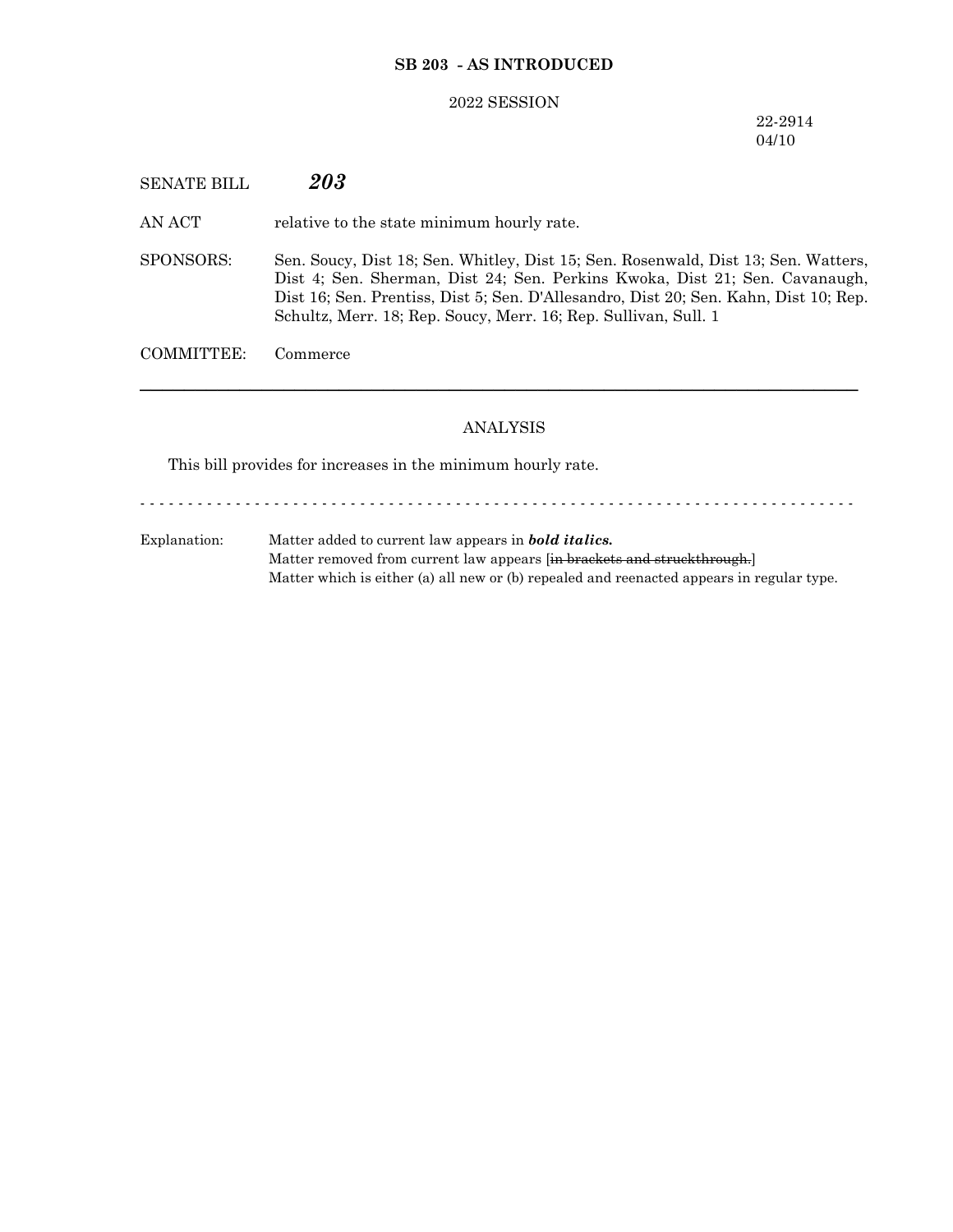## **SB 203 - AS INTRODUCED**

#### 2022 SESSION

# 22-2914 04/10

SENATE BILL *203*

AN ACT relative to the state minimum hourly rate.

SPONSORS: Sen. Soucy, Dist 18; Sen. Whitley, Dist 15; Sen. Rosenwald, Dist 13; Sen. Watters, Dist 4; Sen. Sherman, Dist 24; Sen. Perkins Kwoka, Dist 21; Sen. Cavanaugh, Dist 16; Sen. Prentiss, Dist 5; Sen. D'Allesandro, Dist 20; Sen. Kahn, Dist 10; Rep. Schultz, Merr. 18; Rep. Soucy, Merr. 16; Rep. Sullivan, Sull. 1

COMMITTEE: Commerce

## ANALYSIS

─────────────────────────────────────────────────────────────────

This bill provides for increases in the minimum hourly rate.

- - - - - - - - - - - - - - - - - - - - - - - - - - - - - - - - - - - - - - - - - - - - - - - - - - - - - - - - - - - - - - - - - - - - - - - - - - -

Explanation: Matter added to current law appears in *bold italics.* Matter removed from current law appears [in brackets and struckthrough.] Matter which is either (a) all new or (b) repealed and reenacted appears in regular type.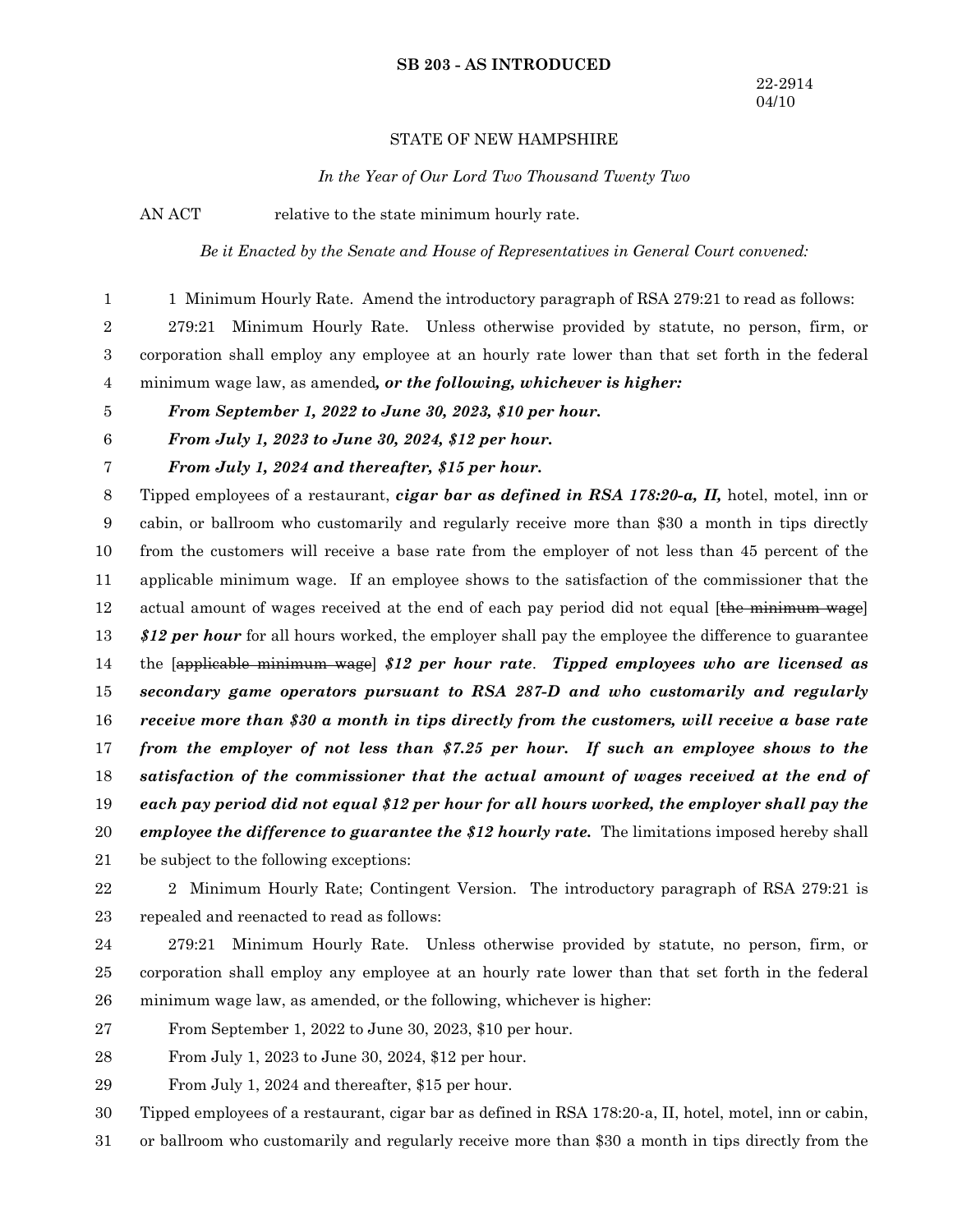#### **SB 203 - AS INTRODUCED**

### STATE OF NEW HAMPSHIRE

*In the Year of Our Lord Two Thousand Twenty Two*

AN ACT relative to the state minimum hourly rate.

*Be it Enacted by the Senate and House of Representatives in General Court convened:*

1 Minimum Hourly Rate. Amend the introductory paragraph of RSA 279:21 to read as follows:

279:21 Minimum Hourly Rate. Unless otherwise provided by statute, no person, firm, or corporation shall employ any employee at an hourly rate lower than that set forth in the federal minimum wage law, as amended*, or the following, whichever is higher:* 2 3 4

*From September 1, 2022 to June 30, 2023, \$10 per hour.* 5

*From July 1, 2024 and thereafter, \$15 per hour.*

*From July 1, 2023 to June 30, 2024, \$12 per hour.* 6

7

1

Tipped employees of a restaurant, *cigar bar as defined in RSA 178:20-a, II,* hotel, motel, inn or cabin, or ballroom who customarily and regularly receive more than \$30 a month in tips directly from the customers will receive a base rate from the employer of not less than 45 percent of the applicable minimum wage. If an employee shows to the satisfaction of the commissioner that the actual amount of wages received at the end of each pay period did not equal [the minimum wage] *\$12 per hour* for all hours worked, the employer shall pay the employee the difference to guarantee the [applicable minimum wage] *\$12 per hour rate*. *Tipped employees who are licensed as secondary game operators pursuant to RSA 287-D and who customarily and regularly receive more than \$30 a month in tips directly from the customers, will receive a base rate from the employer of not less than \$7.25 per hour. If such an employee shows to the satisfaction of the commissioner that the actual amount of wages received at the end of each pay period did not equal \$12 per hour for all hours worked, the employer shall pay the employee the difference to guarantee the \$12 hourly rate.* The limitations imposed hereby shall be subject to the following exceptions: 8 9 10 11 12 13 14 15 16 17 18 19 20 21

22

2 Minimum Hourly Rate; Contingent Version. The introductory paragraph of RSA 279:21 is repealed and reenacted to read as follows: 23

279:21 Minimum Hourly Rate. Unless otherwise provided by statute, no person, firm, or corporation shall employ any employee at an hourly rate lower than that set forth in the federal minimum wage law, as amended, or the following, whichever is higher: 24 25 26

From September 1, 2022 to June 30, 2023, \$10 per hour. 27

From July 1, 2023 to June 30, 2024, \$12 per hour. 28

From July 1, 2024 and thereafter, \$15 per hour. 29

Tipped employees of a restaurant, cigar bar as defined in RSA 178:20-a, II, hotel, motel, inn or cabin, 30

or ballroom who customarily and regularly receive more than \$30 a month in tips directly from the 31